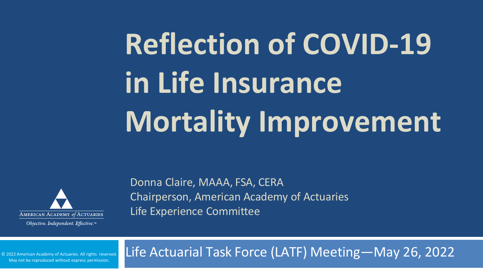# **Reflection of COVID-19 in Life Insurance Mortality Improvement**



Objective. Independent. Effective.™

Donna Claire, MAAA, FSA, CERA Chairperson, American Academy of Actuaries Life Experience Committee

Life Actuarial Task Force (LATF) Meeting—May 26, 2022

May not be reproduced without express permission. © 2022 American Academy of Actuaries. All rights reserved.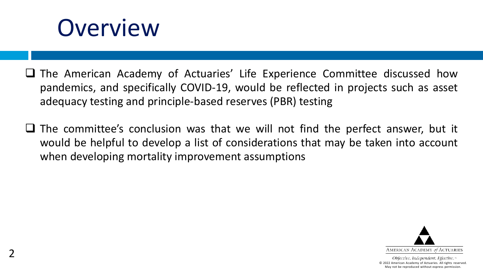## **Overview**

- $\Box$  The American Academy of Actuaries' Life Experience Committee discussed how pandemics, and specifically COVID-19, would be reflected in projects such as asset adequacy testing and principle-based reserves (PBR) testing
- $\Box$  The committee's conclusion was that we will not find the perfect answer, but it would be helpful to develop a list of considerations that may be taken into account when developing mortality improvement assumptions

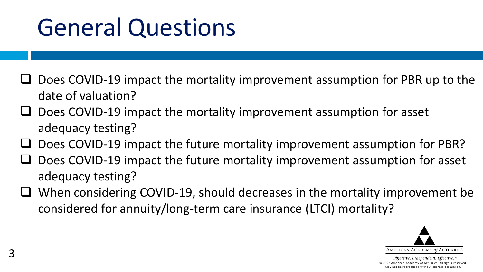# General Questions

- Does COVID-19 impact the mortality improvement assumption for PBR up to the date of valuation?
- Does COVID-19 impact the mortality improvement assumption for asset adequacy testing?
- Does COVID-19 impact the future mortality improvement assumption for PBR?
- Does COVID-19 impact the future mortality improvement assumption for asset adequacy testing?
- When considering COVID-19, should decreases in the mortality improvement be considered for annuity/long-term care insurance (LTCI) mortality?

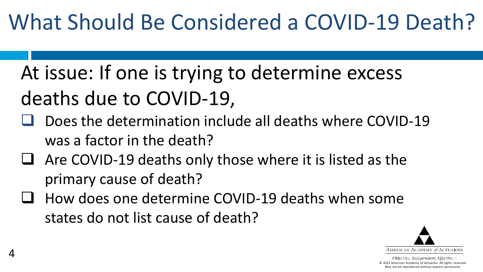### What Should Be Considered a COVID-19 Death?

- At issue: If one is trying to determine excess deaths due to COVID-19,
- Does the determination include all deaths where COVID-19 was a factor in the death?
- $\Box$  Are COVID-19 deaths only those where it is listed as the primary cause of death?
- How does one determine COVID-19 deaths when some states do not list cause of death?

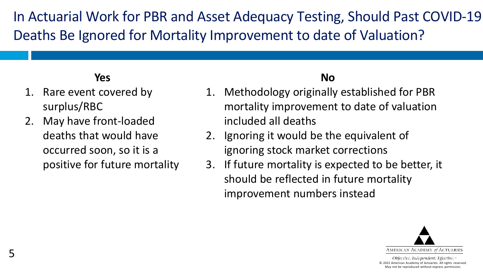In Actuarial Work for PBR and Asset Adequacy Testing, Should Past COVID-19 Deaths Be Ignored for Mortality Improvement to date of Valuation?

#### **Yes**

- 1. Rare event covered by surplus/RBC
- 2. May have front-loaded deaths that would have occurred soon, so it is a positive for future mortality

#### **No**

- 1. Methodology originally established for PBR mortality improvement to date of valuation included all deaths
- 2. Ignoring it would be the equivalent of ignoring stock market corrections
- 3. If future mortality is expected to be better, it should be reflected in future mortality improvement numbers instead

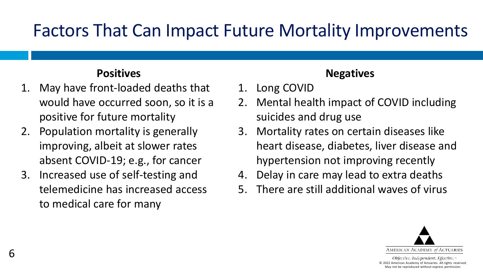### Factors That Can Impact Future Mortality Improvements

#### **Positives**

- 1. May have front-loaded deaths that would have occurred soon, so it is a positive for future mortality
- 2. Population mortality is generally improving, albeit at slower rates absent COVID-19; e.g., for cancer
- 3. Increased use of self-testing and telemedicine has increased access to medical care for many

#### **Negatives**

- 1. Long COVID
- 2. Mental health impact of COVID including suicides and drug use
- 3. Mortality rates on certain diseases like heart disease, diabetes, liver disease and hypertension not improving recently
- 4. Delay in care may lead to extra deaths
- 5. There are still additional waves of virus

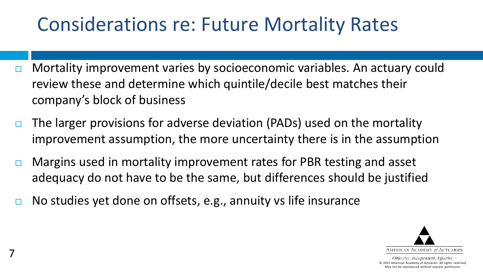### Considerations re: Future Mortality Rates

- $\Box$  Mortality improvement varies by socioeconomic variables. An actuary could review these and determine which quintile/decile best matches their company's block of business
- $\Box$  The larger provisions for adverse deviation (PADs) used on the mortality improvement assumption, the more uncertainty there is in the assumption
- **□** Margins used in mortality improvement rates for PBR testing and asset adequacy do not have to be the same, but differences should be justified
- $\Box$  No studies yet done on offsets, e.g., annuity vs life insurance

7

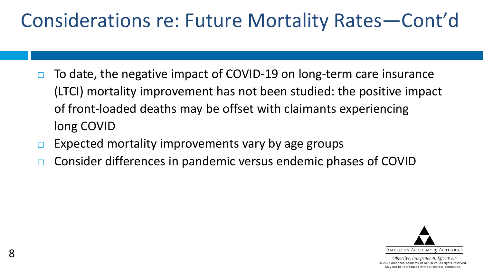### Considerations re: Future Mortality Rates—Cont'd

- $\Box$  To date, the negative impact of COVID-19 on long-term care insurance (LTCI) mortality improvement has not been studied: the positive impact of front-loaded deaths may be offset with claimants experiencing long COVID
- $\Box$  Expected mortality improvements vary by age groups
- □ Consider differences in pandemic versus endemic phases of COVID

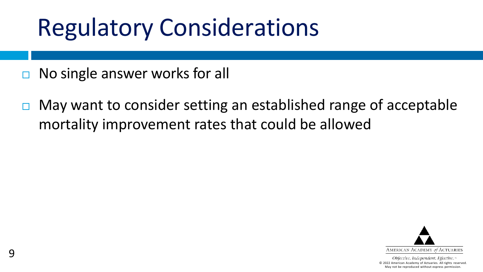# Regulatory Considerations

- $\Box$  No single answer works for all
- $\Box$  May want to consider setting an established range of acceptable mortality improvement rates that could be allowed